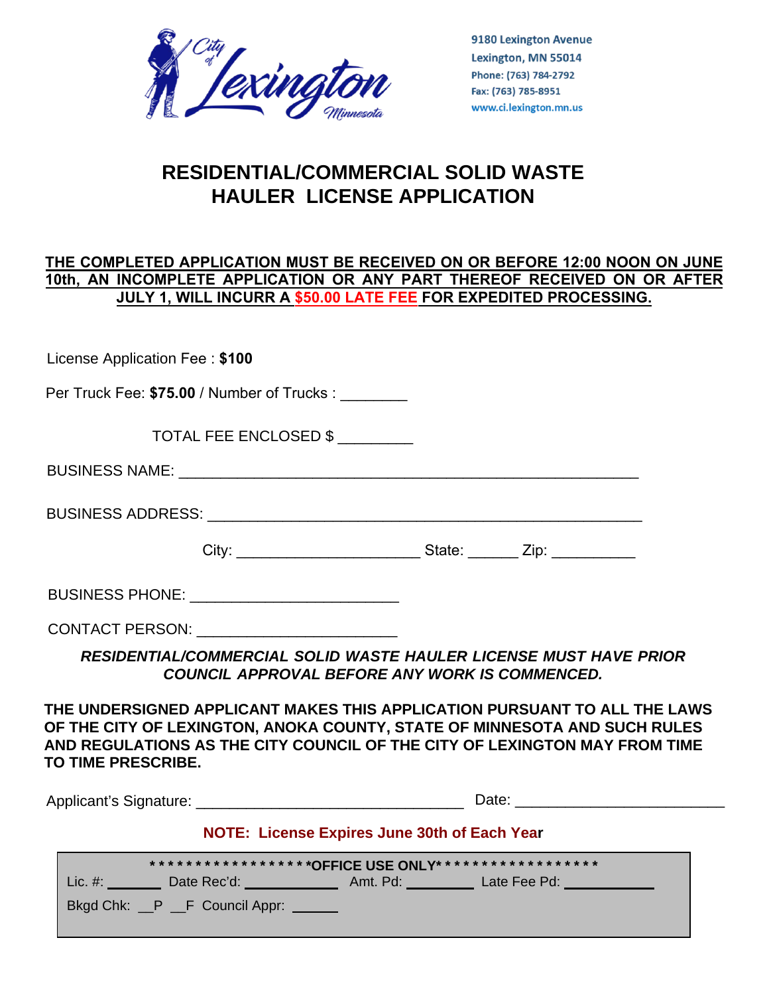

9180 Lexington Avenue Lexington, MN 55014 Phone: (763) 784-2792 Fax: (763) 785-8951 www.ci.lexington.mn.us

# **RESIDENTIAL/COMMERCIAL SOLID WASTE HAULER LICENSE APPLICATION**

## **THE COMPLETED APPLICATION MUST BE RECEIVED ON OR BEFORE 12:00 NOON ON JUNE 10th, AN INCOMPLETE APPLICATION OR ANY PART THEREOF RECEIVED ON OR AFTER JULY 1, WILL INCURR A \$50.00 LATE FEE FOR EXPEDITED PROCESSING.**

License Application Fee : **\$100**

Per Truck Fee: \$75.00 / Number of Trucks :

TOTAL FEE ENCLOSED \$ \_\_\_\_\_\_\_\_\_

| <b>BUSINESS NAME:</b> |  |
|-----------------------|--|
|                       |  |

BUSINESS ADDRESS: \_\_\_\_\_\_\_\_\_\_\_\_\_\_\_\_\_\_\_\_\_\_\_\_\_\_\_\_\_\_\_\_\_\_\_\_\_\_\_\_\_\_\_\_\_\_\_\_\_\_\_\_

City: \_\_\_\_\_\_\_\_\_\_\_\_\_\_\_\_\_\_\_\_\_\_ State: \_\_\_\_\_\_ Zip: \_\_\_\_\_\_\_\_\_\_

BUSINESS PHONE: \_\_\_\_\_\_\_\_\_\_\_\_\_\_\_\_\_\_\_\_\_\_\_\_\_

CONTACT PERSON: \_\_\_\_\_\_\_\_\_\_\_\_\_\_\_\_\_\_\_\_\_\_\_\_

*RESIDENTIAL/COMMERCIAL SOLID WASTE HAULER LICENSE MUST HAVE PRIOR COUNCIL APPROVAL BEFORE ANY WORK IS COMMENCED.* 

**THE UNDERSIGNED APPLICANT MAKES THIS APPLICATION PURSUANT TO ALL THE LAWS OF THE CITY OF LEXINGTON, ANOKA COUNTY, STATE OF MINNESOTA AND SUCH RULES AND REGULATIONS AS THE CITY COUNCIL OF THE CITY OF LEXINGTON MAY FROM TIME TO TIME PRESCRIBE.** 

Applicant's Signature: example and the Date: example and Date: example and Date: example and the set of the set of the set of the set of the set of the set of the set of the set of the set of the set of the set of the set

**NOTE: License Expires June 30th of Each Year**

|         | ****************** <b>^OFFICE USE ONLY******************</b> |          |              |  |
|---------|--------------------------------------------------------------|----------|--------------|--|
| Lie. #: | Date Rec'd:                                                  | Amt. Pd: | Late Fee Pd: |  |
|         | Bkgd Chk: __P __F Council Appr:                              |          |              |  |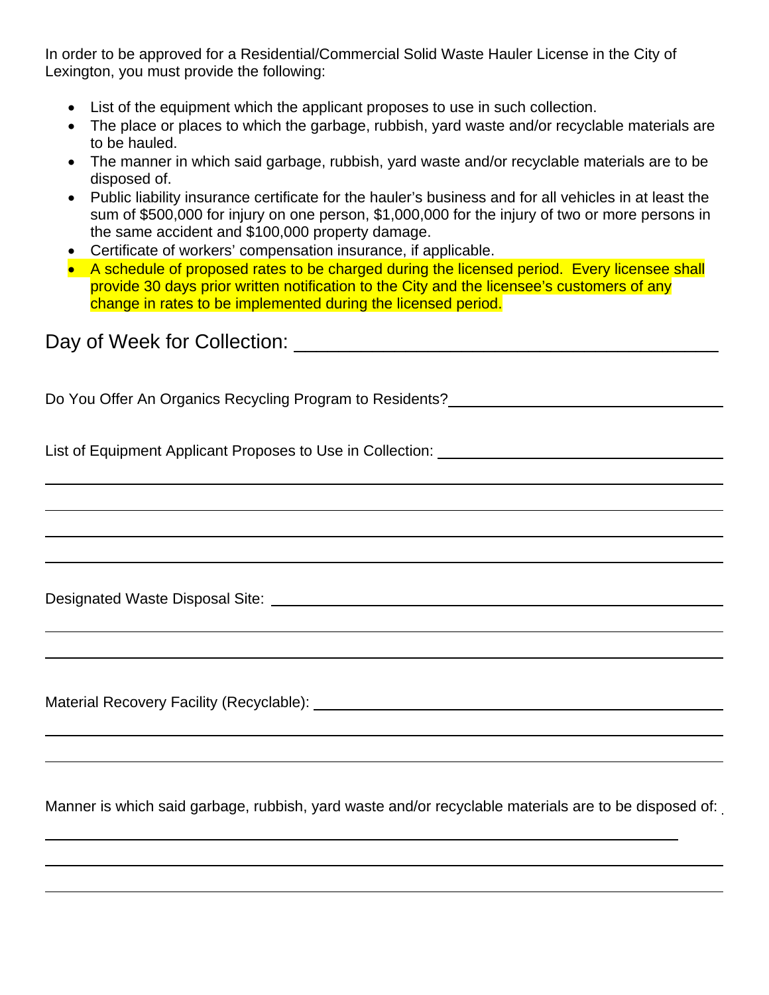In order to be approved for a Residential/Commercial Solid Waste Hauler License in the City of Lexington, you must provide the following:

- List of the equipment which the applicant proposes to use in such collection.
- The place or places to which the garbage, rubbish, yard waste and/or recyclable materials are to be hauled.
- The manner in which said garbage, rubbish, yard waste and/or recyclable materials are to be disposed of.
- Public liability insurance certificate for the hauler's business and for all vehicles in at least the sum of \$500,000 for injury on one person, \$1,000,000 for the injury of two or more persons in the same accident and \$100,000 property damage.
- Certificate of workers' compensation insurance, if applicable.
- A schedule of proposed rates to be charged during the licensed period. Every licensee shall provide 30 days prior written notification to the City and the licensee's customers of any change in rates to be implemented during the licensed period.

Day of Week for Collection: \_\_\_\_\_\_\_\_\_\_\_\_\_\_\_\_\_\_\_\_\_\_\_\_\_\_\_\_\_\_\_\_\_\_\_\_\_\_

Do You Offer An Organics Recycling Program to Residents?

List of Equipment Applicant Proposes to Use in Collection:

Designated Waste Disposal Site:

Material Recovery Facility (Recyclable):

Manner is which said garbage, rubbish, yard waste and/or recyclable materials are to be disposed of: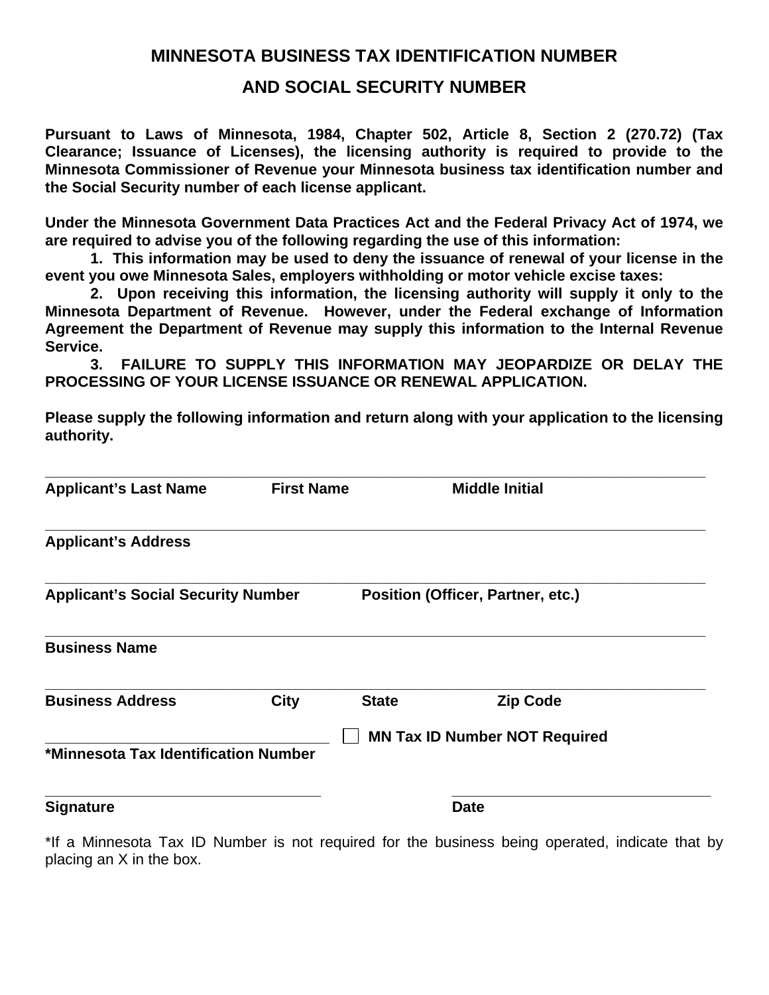## **MINNESOTA BUSINESS TAX IDENTIFICATION NUMBER**

## **AND SOCIAL SECURITY NUMBER**

**Pursuant to Laws of Minnesota, 1984, Chapter 502, Article 8, Section 2 (270.72) (Tax Clearance; Issuance of Licenses), the licensing authority is required to provide to the Minnesota Commissioner of Revenue your Minnesota business tax identification number and the Social Security number of each license applicant.** 

**Under the Minnesota Government Data Practices Act and the Federal Privacy Act of 1974, we are required to advise you of the following regarding the use of this information:** 

 **1. This information may be used to deny the issuance of renewal of your license in the event you owe Minnesota Sales, employers withholding or motor vehicle excise taxes:** 

 **2. Upon receiving this information, the licensing authority will supply it only to the Minnesota Department of Revenue. However, under the Federal exchange of Information Agreement the Department of Revenue may supply this information to the Internal Revenue Service.** 

 **3. FAILURE TO SUPPLY THIS INFORMATION MAY JEOPARDIZE OR DELAY THE PROCESSING OF YOUR LICENSE ISSUANCE OR RENEWAL APPLICATION.** 

**Please supply the following information and return along with your application to the licensing authority.** 

| <b>Applicant's Last Name</b>              | <b>First Name</b> |                                   | <b>Middle Initial</b>                |
|-------------------------------------------|-------------------|-----------------------------------|--------------------------------------|
| <b>Applicant's Address</b>                |                   |                                   |                                      |
| <b>Applicant's Social Security Number</b> |                   | Position (Officer, Partner, etc.) |                                      |
| <b>Business Name</b>                      |                   |                                   |                                      |
| <b>Business Address</b>                   | <b>City</b>       | <b>State</b>                      | <b>Zip Code</b>                      |
| *Minnesota Tax Identification Number      |                   |                                   | <b>MN Tax ID Number NOT Required</b> |
| <b>Signature</b>                          |                   |                                   | <b>Date</b>                          |

\*If a Minnesota Tax ID Number is not required for the business being operated, indicate that by placing an X in the box.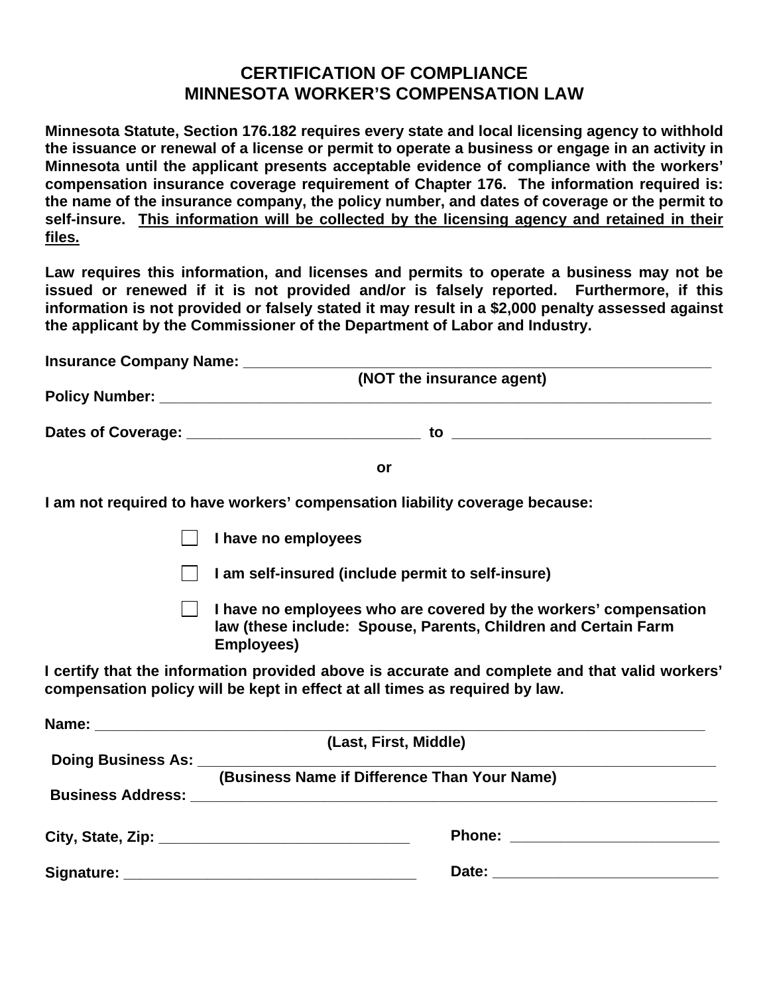# **CERTIFICATION OF COMPLIANCE MINNESOTA WORKER'S COMPENSATION LAW**

**Minnesota Statute, Section 176.182 requires every state and local licensing agency to withhold the issuance or renewal of a license or permit to operate a business or engage in an activity in Minnesota until the applicant presents acceptable evidence of compliance with the workers' compensation insurance coverage requirement of Chapter 176. The information required is: the name of the insurance company, the policy number, and dates of coverage or the permit to self-insure. This information will be collected by the licensing agency and retained in their files.** 

**Law requires this information, and licenses and permits to operate a business may not be issued or renewed if it is not provided and/or is falsely reported. Furthermore, if this information is not provided or falsely stated it may result in a \$2,000 penalty assessed against the applicant by the Commissioner of the Department of Labor and Industry.** 

| <b>Insurance Company Name:</b> |                           |  |
|--------------------------------|---------------------------|--|
|                                | (NOT the insurance agent) |  |
| <b>Policy Number:</b>          |                           |  |
| Dates of Coverage:             | tΟ                        |  |
|                                |                           |  |

**I am not required to have workers' compensation liability coverage because:** 

| $\Box$ I have no employees |  |
|----------------------------|--|
|----------------------------|--|

**I** lam self-insured (include permit to self-insure)

**I have no employees who are covered by the workers' compensation law (these include: Spouse, Parents, Children and Certain Farm Employees)** 

**I certify that the information provided above is accurate and complete and that valid workers' compensation policy will be kept in effect at all times as required by law.** 

| (Last, First, Middle)                        |
|----------------------------------------------|
|                                              |
| (Business Name if Difference Than Your Name) |
|                                              |
| Phone: <u>____________________</u>           |
|                                              |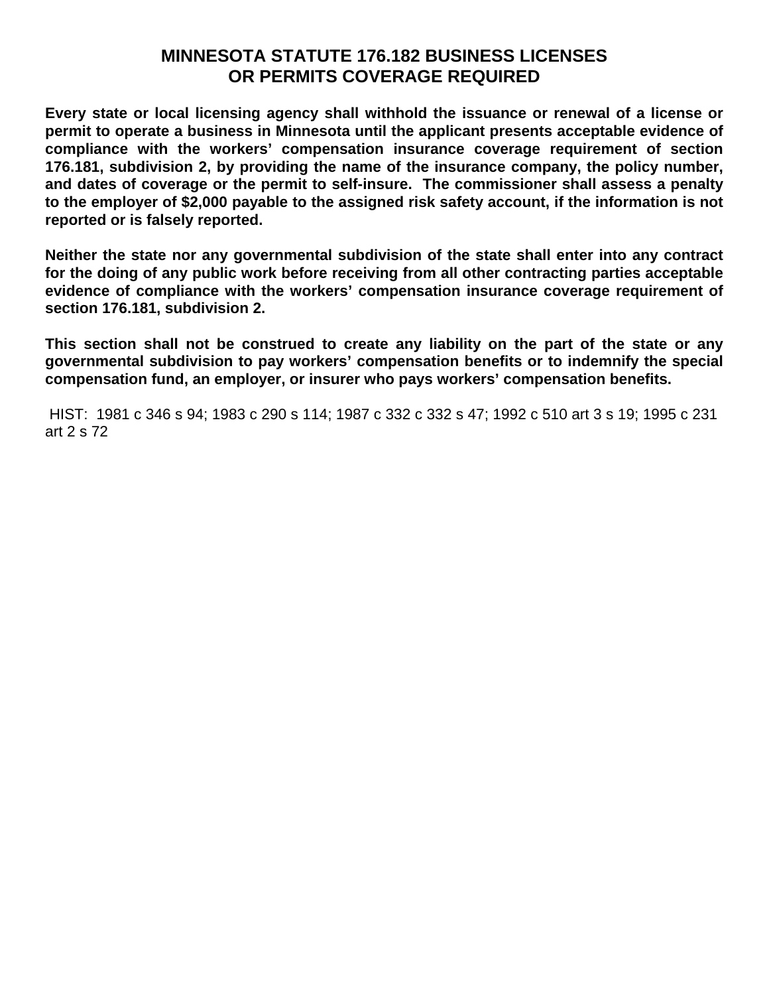# **MINNESOTA STATUTE 176.182 BUSINESS LICENSES OR PERMITS COVERAGE REQUIRED**

**Every state or local licensing agency shall withhold the issuance or renewal of a license or permit to operate a business in Minnesota until the applicant presents acceptable evidence of compliance with the workers' compensation insurance coverage requirement of section 176.181, subdivision 2, by providing the name of the insurance company, the policy number, and dates of coverage or the permit to self-insure. The commissioner shall assess a penalty to the employer of \$2,000 payable to the assigned risk safety account, if the information is not reported or is falsely reported.** 

**Neither the state nor any governmental subdivision of the state shall enter into any contract for the doing of any public work before receiving from all other contracting parties acceptable evidence of compliance with the workers' compensation insurance coverage requirement of section 176.181, subdivision 2.** 

**This section shall not be construed to create any liability on the part of the state or any governmental subdivision to pay workers' compensation benefits or to indemnify the special compensation fund, an employer, or insurer who pays workers' compensation benefits.** 

 HIST: 1981 c 346 s 94; 1983 c 290 s 114; 1987 c 332 c 332 s 47; 1992 c 510 art 3 s 19; 1995 c 231 art 2 s 72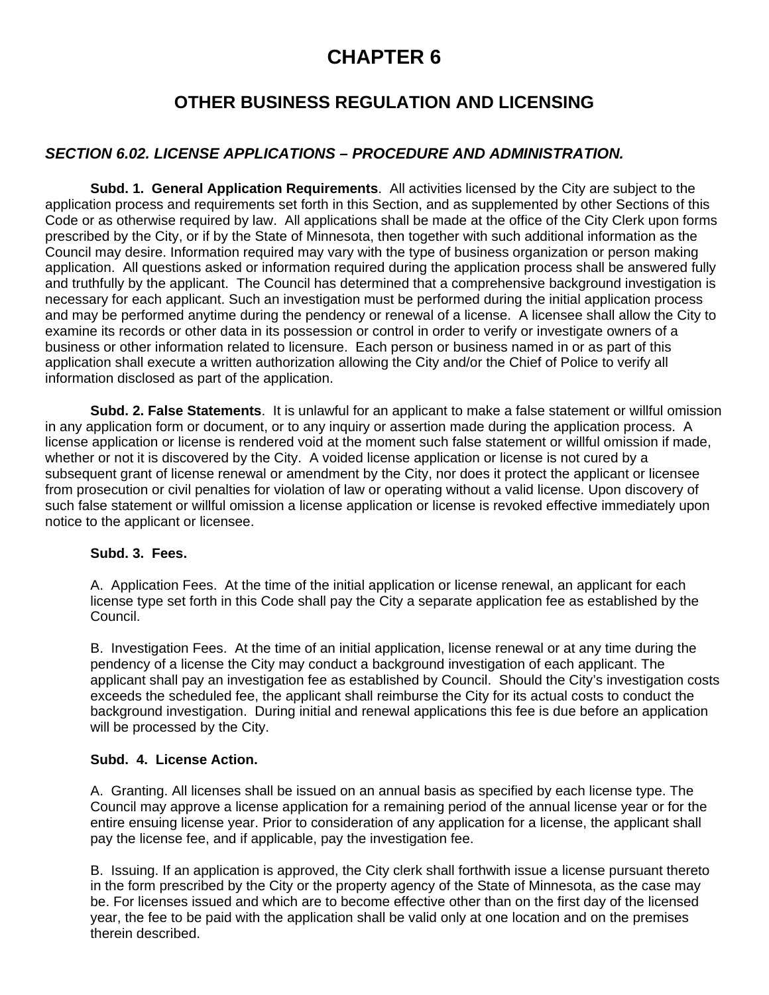# **CHAPTER 6**

# **OTHER BUSINESS REGULATION AND LICENSING**

### *SECTION 6.02. LICENSE APPLICATIONS – PROCEDURE AND ADMINISTRATION.*

**Subd. 1. General Application Requirements**. All activities licensed by the City are subject to the application process and requirements set forth in this Section, and as supplemented by other Sections of this Code or as otherwise required by law. All applications shall be made at the office of the City Clerk upon forms prescribed by the City, or if by the State of Minnesota, then together with such additional information as the Council may desire. Information required may vary with the type of business organization or person making application. All questions asked or information required during the application process shall be answered fully and truthfully by the applicant. The Council has determined that a comprehensive background investigation is necessary for each applicant. Such an investigation must be performed during the initial application process and may be performed anytime during the pendency or renewal of a license. A licensee shall allow the City to examine its records or other data in its possession or control in order to verify or investigate owners of a business or other information related to licensure. Each person or business named in or as part of this application shall execute a written authorization allowing the City and/or the Chief of Police to verify all information disclosed as part of the application.

**Subd. 2. False Statements**. It is unlawful for an applicant to make a false statement or willful omission in any application form or document, or to any inquiry or assertion made during the application process. A license application or license is rendered void at the moment such false statement or willful omission if made, whether or not it is discovered by the City. A voided license application or license is not cured by a subsequent grant of license renewal or amendment by the City, nor does it protect the applicant or licensee from prosecution or civil penalties for violation of law or operating without a valid license. Upon discovery of such false statement or willful omission a license application or license is revoked effective immediately upon notice to the applicant or licensee.

### **Subd. 3. Fees.**

 A. Application Fees. At the time of the initial application or license renewal, an applicant for each license type set forth in this Code shall pay the City a separate application fee as established by the Council.

 B. Investigation Fees. At the time of an initial application, license renewal or at any time during the pendency of a license the City may conduct a background investigation of each applicant. The applicant shall pay an investigation fee as established by Council. Should the City's investigation costs exceeds the scheduled fee, the applicant shall reimburse the City for its actual costs to conduct the background investigation. During initial and renewal applications this fee is due before an application will be processed by the City.

### **Subd. 4. License Action.**

 A. Granting. All licenses shall be issued on an annual basis as specified by each license type. The Council may approve a license application for a remaining period of the annual license year or for the entire ensuing license year. Prior to consideration of any application for a license, the applicant shall pay the license fee, and if applicable, pay the investigation fee.

 B. Issuing. If an application is approved, the City clerk shall forthwith issue a license pursuant thereto in the form prescribed by the City or the property agency of the State of Minnesota, as the case may be. For licenses issued and which are to become effective other than on the first day of the licensed year, the fee to be paid with the application shall be valid only at one location and on the premises therein described.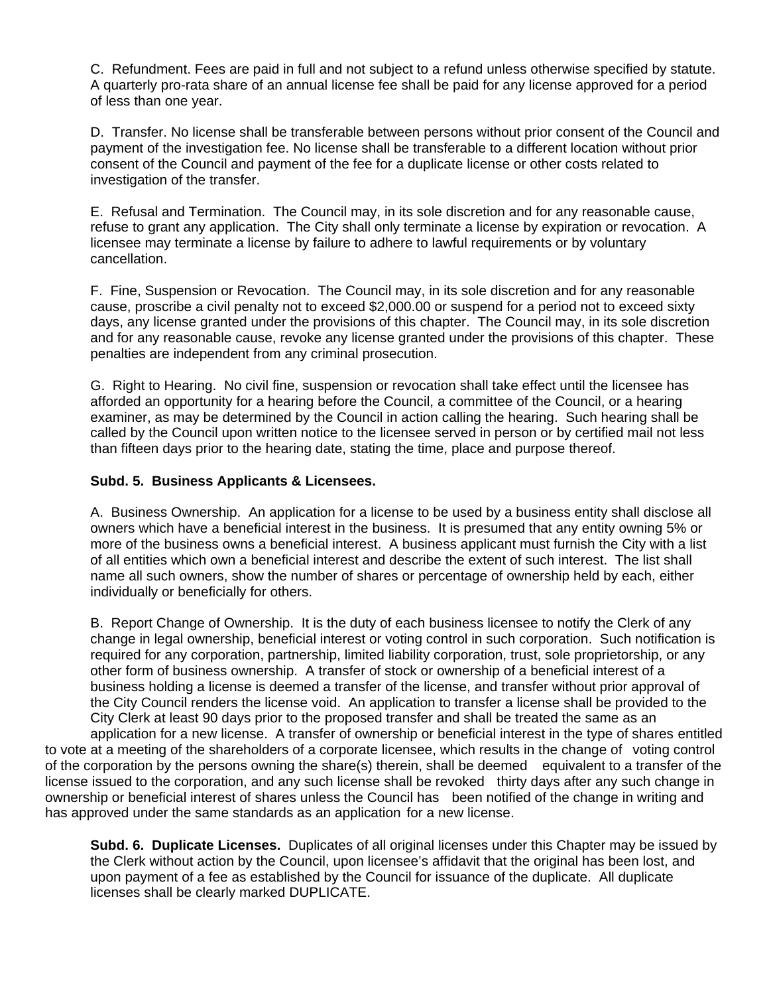C. Refundment. Fees are paid in full and not subject to a refund unless otherwise specified by statute. A quarterly pro-rata share of an annual license fee shall be paid for any license approved for a period of less than one year.

 D. Transfer. No license shall be transferable between persons without prior consent of the Council and payment of the investigation fee. No license shall be transferable to a different location without prior consent of the Council and payment of the fee for a duplicate license or other costs related to investigation of the transfer.

 E. Refusal and Termination. The Council may, in its sole discretion and for any reasonable cause, refuse to grant any application. The City shall only terminate a license by expiration or revocation. A licensee may terminate a license by failure to adhere to lawful requirements or by voluntary cancellation.

 F. Fine, Suspension or Revocation. The Council may, in its sole discretion and for any reasonable cause, proscribe a civil penalty not to exceed \$2,000.00 or suspend for a period not to exceed sixty days, any license granted under the provisions of this chapter. The Council may, in its sole discretion and for any reasonable cause, revoke any license granted under the provisions of this chapter. These penalties are independent from any criminal prosecution.

 G. Right to Hearing. No civil fine, suspension or revocation shall take effect until the licensee has afforded an opportunity for a hearing before the Council, a committee of the Council, or a hearing examiner, as may be determined by the Council in action calling the hearing. Such hearing shall be called by the Council upon written notice to the licensee served in person or by certified mail not less than fifteen days prior to the hearing date, stating the time, place and purpose thereof.

### **Subd. 5. Business Applicants & Licensees.**

 A. Business Ownership. An application for a license to be used by a business entity shall disclose all owners which have a beneficial interest in the business. It is presumed that any entity owning 5% or more of the business owns a beneficial interest. A business applicant must furnish the City with a list of all entities which own a beneficial interest and describe the extent of such interest. The list shall name all such owners, show the number of shares or percentage of ownership held by each, either individually or beneficially for others.

 B. Report Change of Ownership. It is the duty of each business licensee to notify the Clerk of any change in legal ownership, beneficial interest or voting control in such corporation. Such notification is required for any corporation, partnership, limited liability corporation, trust, sole proprietorship, or any other form of business ownership. A transfer of stock or ownership of a beneficial interest of a business holding a license is deemed a transfer of the license, and transfer without prior approval of the City Council renders the license void. An application to transfer a license shall be provided to the City Clerk at least 90 days prior to the proposed transfer and shall be treated the same as an application for a new license. A transfer of ownership or beneficial interest in the type of shares entitled to vote at a meeting of the shareholders of a corporate licensee, which results in the change of voting control of the corporation by the persons owning the share(s) therein, shall be deemed equivalent to a transfer of the license issued to the corporation, and any such license shall be revoked thirty days after any such change in ownership or beneficial interest of shares unless the Council has been notified of the change in writing and has approved under the same standards as an application for a new license.

**Subd. 6. Duplicate Licenses.** Duplicates of all original licenses under this Chapter may be issued by the Clerk without action by the Council, upon licensee's affidavit that the original has been lost, and upon payment of a fee as established by the Council for issuance of the duplicate. All duplicate licenses shall be clearly marked DUPLICATE.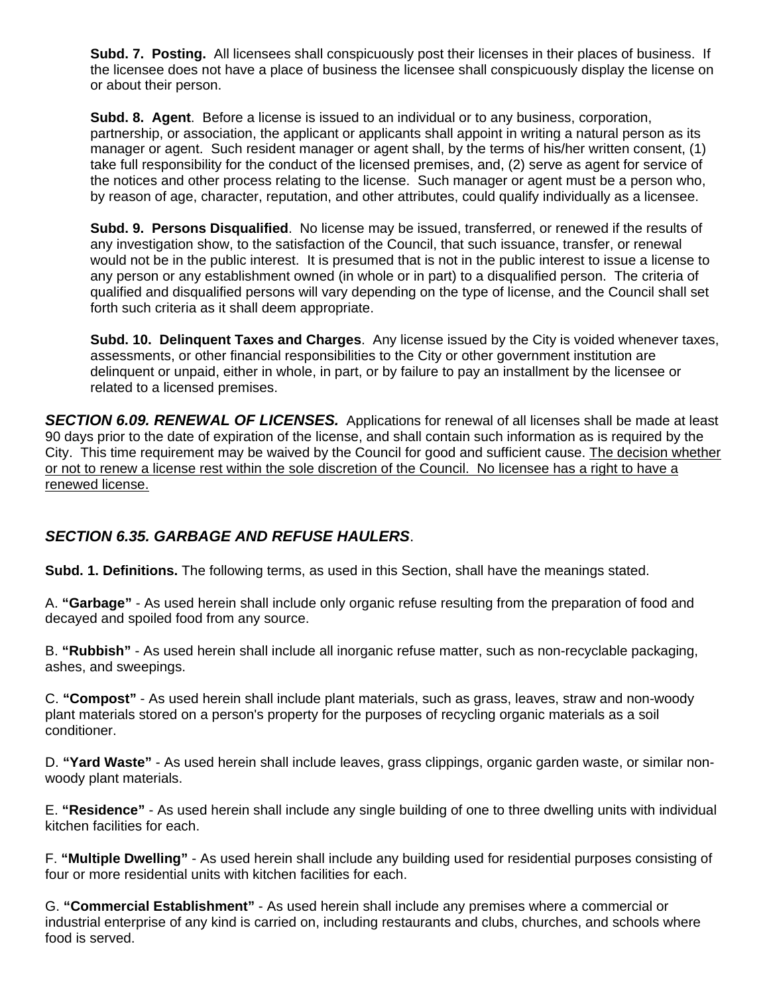**Subd. 7. Posting.** All licensees shall conspicuously post their licenses in their places of business. If the licensee does not have a place of business the licensee shall conspicuously display the license on or about their person.

**Subd. 8. Agent**. Before a license is issued to an individual or to any business, corporation, partnership, or association, the applicant or applicants shall appoint in writing a natural person as its manager or agent. Such resident manager or agent shall, by the terms of his/her written consent, (1) take full responsibility for the conduct of the licensed premises, and, (2) serve as agent for service of the notices and other process relating to the license. Such manager or agent must be a person who, by reason of age, character, reputation, and other attributes, could qualify individually as a licensee.

**Subd. 9. Persons Disqualified**. No license may be issued, transferred, or renewed if the results of any investigation show, to the satisfaction of the Council, that such issuance, transfer, or renewal would not be in the public interest. It is presumed that is not in the public interest to issue a license to any person or any establishment owned (in whole or in part) to a disqualified person. The criteria of qualified and disqualified persons will vary depending on the type of license, and the Council shall set forth such criteria as it shall deem appropriate.

**Subd. 10. Delinquent Taxes and Charges**. Any license issued by the City is voided whenever taxes, assessments, or other financial responsibilities to the City or other government institution are delinquent or unpaid, either in whole, in part, or by failure to pay an installment by the licensee or related to a licensed premises.

**SECTION 6.09. RENEWAL OF LICENSES.** Applications for renewal of all licenses shall be made at least 90 days prior to the date of expiration of the license, and shall contain such information as is required by the City. This time requirement may be waived by the Council for good and sufficient cause. The decision whether or not to renew a license rest within the sole discretion of the Council. No licensee has a right to have a renewed license.

## *SECTION 6.35. GARBAGE AND REFUSE HAULERS*.

**Subd. 1. Definitions.** The following terms, as used in this Section, shall have the meanings stated.

A. **"Garbage"** - As used herein shall include only organic refuse resulting from the preparation of food and decayed and spoiled food from any source.

B. **"Rubbish"** - As used herein shall include all inorganic refuse matter, such as non-recyclable packaging, ashes, and sweepings.

C. **"Compost"** - As used herein shall include plant materials, such as grass, leaves, straw and non-woody plant materials stored on a person's property for the purposes of recycling organic materials as a soil conditioner.

D. **"Yard Waste"** - As used herein shall include leaves, grass clippings, organic garden waste, or similar nonwoody plant materials.

E. **"Residence"** - As used herein shall include any single building of one to three dwelling units with individual kitchen facilities for each.

F. **"Multiple Dwelling"** - As used herein shall include any building used for residential purposes consisting of four or more residential units with kitchen facilities for each.

G. **"Commercial Establishment"** - As used herein shall include any premises where a commercial or industrial enterprise of any kind is carried on, including restaurants and clubs, churches, and schools where food is served.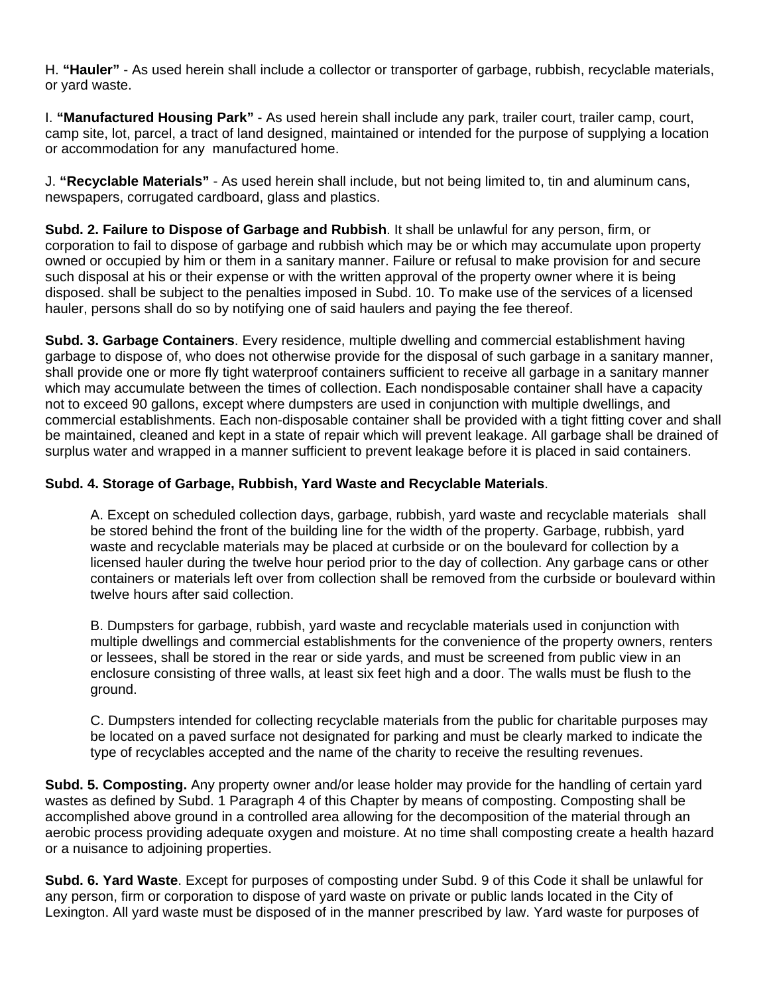H. **"Hauler"** - As used herein shall include a collector or transporter of garbage, rubbish, recyclable materials, or yard waste.

I. **"Manufactured Housing Park"** - As used herein shall include any park, trailer court, trailer camp, court, camp site, lot, parcel, a tract of land designed, maintained or intended for the purpose of supplying a location or accommodation for any manufactured home.

J. **"Recyclable Materials"** - As used herein shall include, but not being limited to, tin and aluminum cans, newspapers, corrugated cardboard, glass and plastics.

**Subd. 2. Failure to Dispose of Garbage and Rubbish**. It shall be unlawful for any person, firm, or corporation to fail to dispose of garbage and rubbish which may be or which may accumulate upon property owned or occupied by him or them in a sanitary manner. Failure or refusal to make provision for and secure such disposal at his or their expense or with the written approval of the property owner where it is being disposed. shall be subject to the penalties imposed in Subd. 10. To make use of the services of a licensed hauler, persons shall do so by notifying one of said haulers and paying the fee thereof.

**Subd. 3. Garbage Containers**. Every residence, multiple dwelling and commercial establishment having garbage to dispose of, who does not otherwise provide for the disposal of such garbage in a sanitary manner, shall provide one or more fly tight waterproof containers sufficient to receive all garbage in a sanitary manner which may accumulate between the times of collection. Each nondisposable container shall have a capacity not to exceed 90 gallons, except where dumpsters are used in conjunction with multiple dwellings, and commercial establishments. Each non-disposable container shall be provided with a tight fitting cover and shall be maintained, cleaned and kept in a state of repair which will prevent leakage. All garbage shall be drained of surplus water and wrapped in a manner sufficient to prevent leakage before it is placed in said containers.

### **Subd. 4. Storage of Garbage, Rubbish, Yard Waste and Recyclable Materials**.

 A. Except on scheduled collection days, garbage, rubbish, yard waste and recyclable materials shall be stored behind the front of the building line for the width of the property. Garbage, rubbish, yard waste and recyclable materials may be placed at curbside or on the boulevard for collection by a licensed hauler during the twelve hour period prior to the day of collection. Any garbage cans or other containers or materials left over from collection shall be removed from the curbside or boulevard within twelve hours after said collection.

 B. Dumpsters for garbage, rubbish, yard waste and recyclable materials used in conjunction with multiple dwellings and commercial establishments for the convenience of the property owners, renters or lessees, shall be stored in the rear or side yards, and must be screened from public view in an enclosure consisting of three walls, at least six feet high and a door. The walls must be flush to the ground.

 C. Dumpsters intended for collecting recyclable materials from the public for charitable purposes may be located on a paved surface not designated for parking and must be clearly marked to indicate the type of recyclables accepted and the name of the charity to receive the resulting revenues.

**Subd. 5. Composting.** Any property owner and/or lease holder may provide for the handling of certain yard wastes as defined by Subd. 1 Paragraph 4 of this Chapter by means of composting. Composting shall be accomplished above ground in a controlled area allowing for the decomposition of the material through an aerobic process providing adequate oxygen and moisture. At no time shall composting create a health hazard or a nuisance to adjoining properties.

**Subd. 6. Yard Waste**. Except for purposes of composting under Subd. 9 of this Code it shall be unlawful for any person, firm or corporation to dispose of yard waste on private or public lands located in the City of Lexington. All yard waste must be disposed of in the manner prescribed by law. Yard waste for purposes of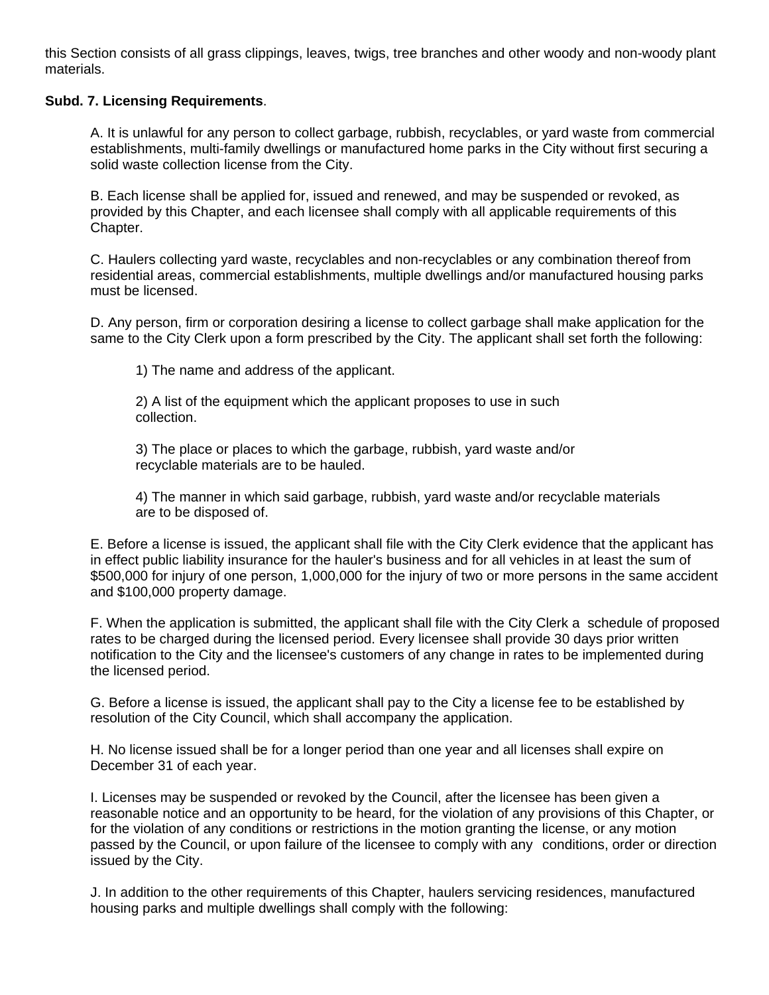this Section consists of all grass clippings, leaves, twigs, tree branches and other woody and non-woody plant materials.

### **Subd. 7. Licensing Requirements**.

 A. It is unlawful for any person to collect garbage, rubbish, recyclables, or yard waste from commercial establishments, multi-family dwellings or manufactured home parks in the City without first securing a solid waste collection license from the City.

 B. Each license shall be applied for, issued and renewed, and may be suspended or revoked, as provided by this Chapter, and each licensee shall comply with all applicable requirements of this Chapter.

 C. Haulers collecting yard waste, recyclables and non-recyclables or any combination thereof from residential areas, commercial establishments, multiple dwellings and/or manufactured housing parks must be licensed.

 D. Any person, firm or corporation desiring a license to collect garbage shall make application for the same to the City Clerk upon a form prescribed by the City. The applicant shall set forth the following:

1) The name and address of the applicant.

 2) A list of the equipment which the applicant proposes to use in such collection.

 3) The place or places to which the garbage, rubbish, yard waste and/or recyclable materials are to be hauled.

 4) The manner in which said garbage, rubbish, yard waste and/or recyclable materials are to be disposed of.

 E. Before a license is issued, the applicant shall file with the City Clerk evidence that the applicant has in effect public liability insurance for the hauler's business and for all vehicles in at least the sum of \$500,000 for injury of one person, 1,000,000 for the injury of two or more persons in the same accident and \$100,000 property damage.

 F. When the application is submitted, the applicant shall file with the City Clerk a schedule of proposed rates to be charged during the licensed period. Every licensee shall provide 30 days prior written notification to the City and the licensee's customers of any change in rates to be implemented during the licensed period.

 G. Before a license is issued, the applicant shall pay to the City a license fee to be established by resolution of the City Council, which shall accompany the application.

 H. No license issued shall be for a longer period than one year and all licenses shall expire on December 31 of each year.

 I. Licenses may be suspended or revoked by the Council, after the licensee has been given a reasonable notice and an opportunity to be heard, for the violation of any provisions of this Chapter, or for the violation of any conditions or restrictions in the motion granting the license, or any motion passed by the Council, or upon failure of the licensee to comply with any conditions, order or direction issued by the City.

 J. In addition to the other requirements of this Chapter, haulers servicing residences, manufactured housing parks and multiple dwellings shall comply with the following: